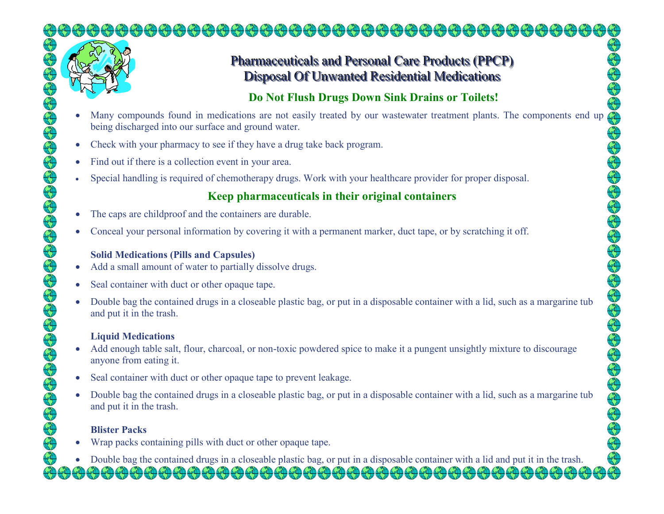

## Pharmaceuticals and Personal Care Products (PPCP) Disposal Of Unwanted Residential Medications

## **Do Not Flush Drugs Down Sink Drains or Toilets!**

- •being discharged into our surface and ground water.
- •Check with your pharmacy to see if they have a drug take back program.
- •Find out if there is a collection event in your area.
- •Special handling is required of chemotherapy drugs. Work with your healthcare provider for proper disposal.

### **Keep pharmaceuticals in their original containers**

- •The caps are childproof and the containers are durable.
- •Conceal your personal information by covering it with a permanent marker, duct tape, or by scratching it off.

#### **Solid Medications (Pills and Capsules)**

- Add a small amount of water to partially dissolve drugs.  $\bullet$
- •Seal container with duct or other opaque tape.
- Many compounds found in medications are not easily treated by our wastewater treatment plants. The components end up  $\bullet$  Double bag the contained drugs in a closeable plastic bag, or put in a disposable container with a lid, such as a margarine tub and put it in the trash.

#### **Liquid Medications**

- Add enough table salt, flour, charcoal, or non-toxic powdered spice to make it a pungent unsightly mixture to discourage  $\bullet$ anyone from eating it.
- •Seal container with duct or other opaque tape to prevent leakage.
- • Double bag the contained drugs in a closeable plastic bag, or put in a disposable container with a lid, such as a margarine tub and put it in the trash.

#### **Blister Packs**

- $\bullet$ Wrap packs containing pills with duct or other opaque tape.
- Double bag the contained drugs in a closeable plastic bag, or put in a disposable container with a lid and put it in the trash.